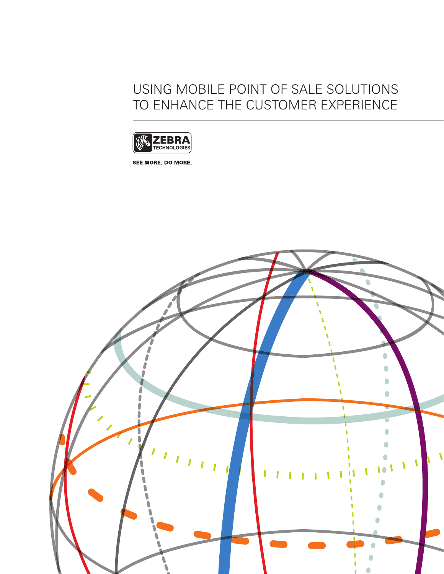### USING MOBILE POINT OF SALE SOLUTIONS TO ENHANCE THE CUSTOMER EXPERIENCE



SEE MORE. DO MORE.

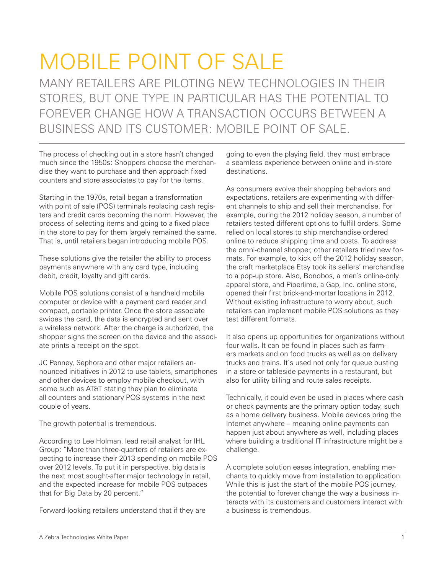# MOBILE POINT OF SALE

MANY RETAILERS ARE PILOTING NEW TECHNOLOGIES IN THEIR STORES, BUT ONE TYPE IN PARTICULAR HAS THE POTENTIAL TO FOREVER CHANGE HOW A TRANSACTION OCCURS BETWEEN A BUSINESS AND ITS CUSTOMER: MOBILE POINT OF SALE.

The process of checking out in a store hasn't changed much since the 1950s: Shoppers choose the merchandise they want to purchase and then approach fixed counters and store associates to pay for the items.

Starting in the 1970s, retail began a transformation with point of sale (POS) terminals replacing cash registers and credit cards becoming the norm. However, the process of selecting items and going to a fixed place in the store to pay for them largely remained the same. That is, until retailers began introducing mobile POS.

These solutions give the retailer the ability to process payments anywhere with any card type, including debit, credit, loyalty and gift cards.

Mobile POS solutions consist of a handheld mobile computer or device with a payment card reader and compact, portable printer. Once the store associate swipes the card, the data is encrypted and sent over a wireless network. After the charge is authorized, the shopper signs the screen on the device and the associate prints a receipt on the spot.

JC Penney, Sephora and other major retailers announced initiatives in 2012 to use tablets, smartphones and other devices to employ mobile checkout, with some such as AT&T stating they plan to eliminate all counters and stationary POS systems in the next couple of years.

The growth potential is tremendous.

According to Lee Holman, lead retail analyst for IHL Group: "More than three-quarters of retailers are expecting to increase their 2013 spending on mobile POS over 2012 levels. To put it in perspective, big data is the next most sought-after major technology in retail, and the expected increase for mobile POS outpaces that for Big Data by 20 percent."

Forward-looking retailers understand that if they are

going to even the playing field, they must embrace a seamless experience between online and in-store destinations.

As consumers evolve their shopping behaviors and expectations, retailers are experimenting with different channels to ship and sell their merchandise. For example, during the 2012 holiday season, a number of retailers tested different options to fulfill orders. Some relied on local stores to ship merchandise ordered online to reduce shipping time and costs. To address the omni-channel shopper, other retailers tried new formats. For example, to kick off the 2012 holiday season, the craft marketplace Etsy took its sellers' merchandise to a pop-up store. Also, Bonobos, a men's online-only apparel store, and Piperlime, a Gap, Inc. online store, opened their first brick-and-mortar locations in 2012. Without existing infrastructure to worry about, such retailers can implement mobile POS solutions as they test different formats.

It also opens up opportunities for organizations without four walls. It can be found in places such as farmers markets and on food trucks as well as on delivery trucks and trains. It's used not only for queue busting in a store or tableside payments in a restaurant, but also for utility billing and route sales receipts.

Technically, it could even be used in places where cash or check payments are the primary option today, such as a home delivery business. Mobile devices bring the Internet anywhere – meaning online payments can happen just about anywhere as well, including places where building a traditional IT infrastructure might be a challenge.

A complete solution eases integration, enabling merchants to quickly move from installation to application. While this is just the start of the mobile POS journey, the potential to forever change the way a business interacts with its customers and customers interact with a business is tremendous.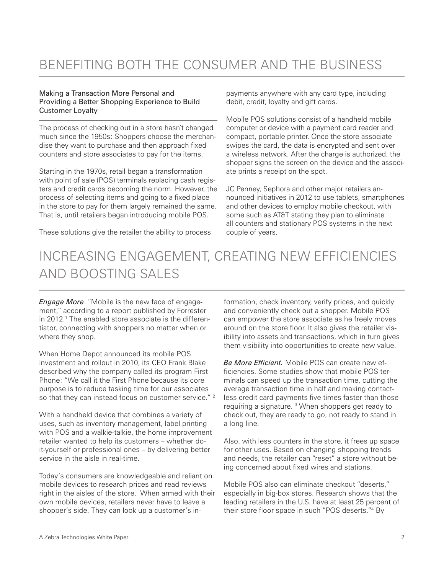### BENEFITING BOTH THE CONSUMER AND THE BUSINESS

#### Making a Transaction More Personal and Providing a Better Shopping Experience to Build Customer Loyalty

The process of checking out in a store hasn't changed much since the 1950s: Shoppers choose the merchandise they want to purchase and then approach fixed counters and store associates to pay for the items.

Starting in the 1970s, retail began a transformation with point of sale (POS) terminals replacing cash registers and credit cards becoming the norm. However, the process of selecting items and going to a fixed place in the store to pay for them largely remained the same. That is, until retailers began introducing mobile POS.

These solutions give the retailer the ability to process

payments anywhere with any card type, including debit, credit, loyalty and gift cards.

Mobile POS solutions consist of a handheld mobile computer or device with a payment card reader and compact, portable printer. Once the store associate swipes the card, the data is encrypted and sent over a wireless network. After the charge is authorized, the shopper signs the screen on the device and the associate prints a receipt on the spot.

JC Penney, Sephora and other major retailers announced initiatives in 2012 to use tablets, smartphones and other devices to employ mobile checkout, with some such as AT&T stating they plan to eliminate all counters and stationary POS systems in the next couple of years.

# INCREASING ENGAGEMENT, CREATING NEW EFFICIENCIES AND BOOSTING SALES

*Engage More*. "Mobile is the new face of engagement," according to a report published by Forrester in 2012.1 The enabled store associate is the differentiator, connecting with shoppers no matter when or where they shop.

When Home Depot announced its mobile POS investment and rollout in 2010, its CEO Frank Blake described why the company called its program First Phone: "We call it the First Phone because its core purpose is to reduce tasking time for our associates so that they can instead focus on customer service."<sup>2</sup>

With a handheld device that combines a variety of uses, such as inventory management, label printing with POS and a walkie-talkie, the home improvement retailer wanted to help its customers – whether doit-yourself or professional ones – by delivering better service in the aisle in real-time.

Today's consumers are knowledgeable and reliant on mobile devices to research prices and read reviews right in the aisles of the store. When armed with their own mobile devices, retailers never have to leave a shopper's side. They can look up a customer's information, check inventory, verify prices, and quickly and conveniently check out a shopper. Mobile POS can empower the store associate as he freely moves around on the store floor. It also gives the retailer visibility into assets and transactions, which in turn gives them visibility into opportunities to create new value.

*Be More Efficient.* Mobile POS can create new efficiencies. Some studies show that mobile POS terminals can speed up the transaction time, cutting the average transaction time in half and making contactless credit card payments five times faster than those requiring a signature.<sup>3</sup> When shoppers get ready to check out, they are ready to go, not ready to stand in a long line.

Also, with less counters in the store, it frees up space for other uses. Based on changing shopping trends and needs, the retailer can "reset" a store without being concerned about fixed wires and stations.

Mobile POS also can eliminate checkout "deserts," especially in big-box stores. Research shows that the leading retailers in the U.S. have at least 25 percent of their store floor space in such "POS deserts."<sup>4</sup> By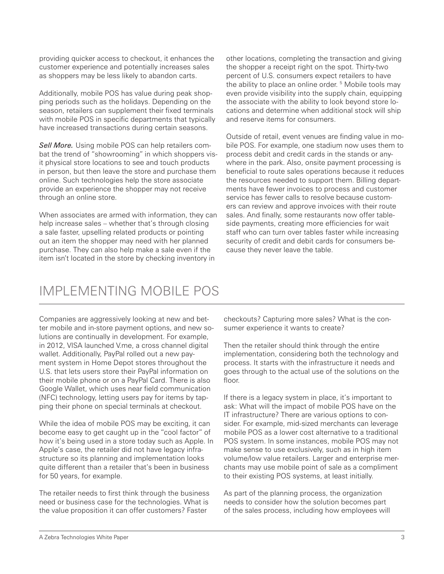providing quicker access to checkout, it enhances the customer experience and potentially increases sales as shoppers may be less likely to abandon carts.

Additionally, mobile POS has value during peak shopping periods such as the holidays. Depending on the season, retailers can supplement their fixed terminals with mobile POS in specific departments that typically have increased transactions during certain seasons.

*Sell More.* Using mobile POS can help retailers combat the trend of "showrooming" in which shoppers visit physical store locations to see and touch products in person, but then leave the store and purchase them online. Such technologies help the store associate provide an experience the shopper may not receive through an online store.

When associates are armed with information, they can help increase sales – whether that's through closing a sale faster, upselling related products or pointing out an item the shopper may need with her planned purchase. They can also help make a sale even if the item isn't located in the store by checking inventory in

other locations, completing the transaction and giving the shopper a receipt right on the spot. Thirty-two percent of U.S. consumers expect retailers to have the ability to place an online order.<sup>5</sup> Mobile tools may even provide visibility into the supply chain, equipping the associate with the ability to look beyond store locations and determine when additional stock will ship and reserve items for consumers.

Outside of retail, event venues are finding value in mobile POS. For example, one stadium now uses them to process debit and credit cards in the stands or anywhere in the park. Also, onsite payment processing is beneficial to route sales operations because it reduces the resources needed to support them. Billing departments have fewer invoices to process and customer service has fewer calls to resolve because customers can review and approve invoices with their route sales. And finally, some restaurants now offer tableside payments, creating more efficiencies for wait staff who can turn over tables faster while increasing security of credit and debit cards for consumers because they never leave the table.

#### IMPLEMENTING MOBILE POS

Companies are aggressively looking at new and better mobile and in-store payment options, and new solutions are continually in development. For example, in 2012, VISA launched V.me, a cross channel digital wallet. Additionally, PayPal rolled out a new payment system in Home Depot stores throughout the U.S. that lets users store their PayPal information on their mobile phone or on a PayPal Card. There is also Google Wallet, which uses near field communication (NFC) technology, letting users pay for items by tapping their phone on special terminals at checkout.

While the idea of mobile POS may be exciting, it can become easy to get caught up in the "cool factor" of how it's being used in a store today such as Apple. In Apple's case, the retailer did not have legacy infrastructure so its planning and implementation looks quite different than a retailer that's been in business for 50 years, for example.

The retailer needs to first think through the business need or business case for the technologies. What is the value proposition it can offer customers? Faster

checkouts? Capturing more sales? What is the consumer experience it wants to create?

Then the retailer should think through the entire implementation, considering both the technology and process. It starts with the infrastructure it needs and goes through to the actual use of the solutions on the floor.

If there is a legacy system in place, it's important to ask: What will the impact of mobile POS have on the IT infrastructure? There are various options to consider. For example, mid-sized merchants can leverage mobile POS as a lower cost alternative to a traditional POS system. In some instances, mobile POS may not make sense to use exclusively, such as in high item volume/low value retailers. Larger and enterprise merchants may use mobile point of sale as a compliment to their existing POS systems, at least initially.

As part of the planning process, the organization needs to consider how the solution becomes part of the sales process, including how employees will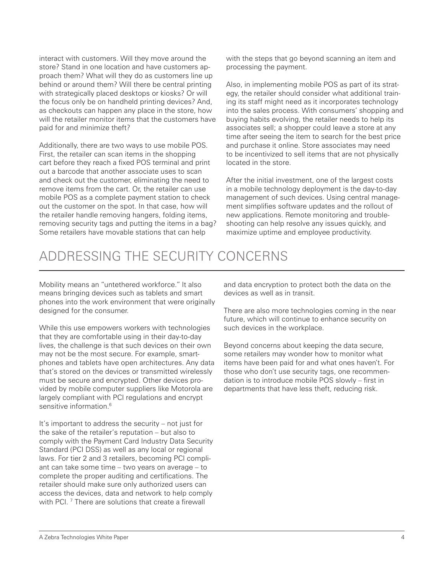interact with customers. Will they move around the store? Stand in one location and have customers approach them? What will they do as customers line up behind or around them? Will there be central printing with strategically placed desktops or kiosks? Or will the focus only be on handheld printing devices? And, as checkouts can happen any place in the store, how will the retailer monitor items that the customers have paid for and minimize theft?

Additionally, there are two ways to use mobile POS. First, the retailer can scan items in the shopping cart before they reach a fixed POS terminal and print out a barcode that another associate uses to scan and check out the customer, eliminating the need to remove items from the cart. Or, the retailer can use mobile POS as a complete payment station to check out the customer on the spot. In that case, how will the retailer handle removing hangers, folding items, removing security tags and putting the items in a bag? Some retailers have movable stations that can help

with the steps that go beyond scanning an item and processing the payment.

Also, in implementing mobile POS as part of its strategy, the retailer should consider what additional training its staff might need as it incorporates technology into the sales process. With consumers' shopping and buying habits evolving, the retailer needs to help its associates sell; a shopper could leave a store at any time after seeing the item to search for the best price and purchase it online. Store associates may need to be incentivized to sell items that are not physically located in the store.

After the initial investment, one of the largest costs in a mobile technology deployment is the day-to-day management of such devices. Using central management simplifies software updates and the rollout of new applications. Remote monitoring and troubleshooting can help resolve any issues quickly, and maximize uptime and employee productivity.

#### ADDRESSING THE SECURITY CONCERNS

Mobility means an "untethered workforce." It also means bringing devices such as tablets and smart phones into the work environment that were originally designed for the consumer.

While this use empowers workers with technologies that they are comfortable using in their day-to-day lives, the challenge is that such devices on their own may not be the most secure. For example, smartphones and tablets have open architectures. Any data that's stored on the devices or transmitted wirelessly must be secure and encrypted. Other devices provided by mobile computer suppliers like Motorola are largely compliant with PCI regulations and encrypt sensitive information.<sup>6</sup>

It's important to address the security – not just for the sake of the retailer's reputation – but also to comply with the Payment Card Industry Data Security Standard (PCI DSS) as well as any local or regional laws. For tier 2 and 3 retailers, becoming PCI compliant can take some time – two years on average – to complete the proper auditing and certifications. The retailer should make sure only authorized users can access the devices, data and network to help comply with PCI. 7 There are solutions that create a firewall

and data encryption to protect both the data on the devices as well as in transit.

There are also more technologies coming in the near future, which will continue to enhance security on such devices in the workplace.

Beyond concerns about keeping the data secure, some retailers may wonder how to monitor what items have been paid for and what ones haven't. For those who don't use security tags, one recommendation is to introduce mobile POS slowly – first in departments that have less theft, reducing risk.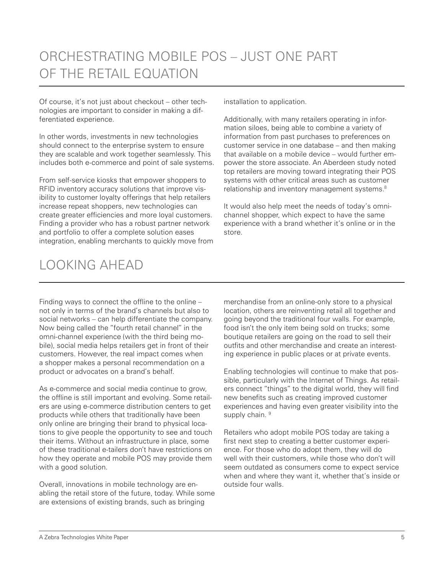Of course, it's not just about checkout – other technologies are important to consider in making a differentiated experience.

In other words, investments in new technologies should connect to the enterprise system to ensure they are scalable and work together seamlessly. This includes both e-commerce and point of sale systems.

From self-service kiosks that empower shoppers to RFID inventory accuracy solutions that improve visibility to customer loyalty offerings that help retailers increase repeat shoppers, new technologies can create greater efficiencies and more loyal customers. Finding a provider who has a robust partner network and portfolio to offer a complete solution eases integration, enabling merchants to quickly move from installation to application.

Additionally, with many retailers operating in information siloes, being able to combine a variety of information from past purchases to preferences on customer service in one database – and then making that available on a mobile device – would further empower the store associate. An Aberdeen study noted top retailers are moving toward integrating their POS systems with other critical areas such as customer relationship and inventory management systems.<sup>8</sup>

It would also help meet the needs of today's omnichannel shopper, which expect to have the same experience with a brand whether it's online or in the store.

## LOOKING AHEAD

Finding ways to connect the offline to the online – not only in terms of the brand's channels but also to social networks – can help differentiate the company. Now being called the "fourth retail channel" in the omni-channel experience (with the third being mobile), social media helps retailers get in front of their customers. However, the real impact comes when a shopper makes a personal recommendation on a product or advocates on a brand's behalf.

As e-commerce and social media continue to grow, the offline is still important and evolving. Some retailers are using e-commerce distribution centers to get products while others that traditionally have been only online are bringing their brand to physical locations to give people the opportunity to see and touch their items. Without an infrastructure in place, some of these traditional e-tailers don't have restrictions on how they operate and mobile POS may provide them with a good solution.

Overall, innovations in mobile technology are enabling the retail store of the future, today. While some are extensions of existing brands, such as bringing

merchandise from an online-only store to a physical location, others are reinventing retail all together and going beyond the traditional four walls. For example, food isn't the only item being sold on trucks; some boutique retailers are going on the road to sell their outfits and other merchandise and create an interesting experience in public places or at private events.

Enabling technologies will continue to make that possible, particularly with the Internet of Things. As retailers connect "things" to the digital world, they will find new benefits such as creating improved customer experiences and having even greater visibility into the supply chain. <sup>9</sup>

Retailers who adopt mobile POS today are taking a first next step to creating a better customer experience. For those who do adopt them, they will do well with their customers, while those who don't will seem outdated as consumers come to expect service when and where they want it, whether that's inside or outside four walls.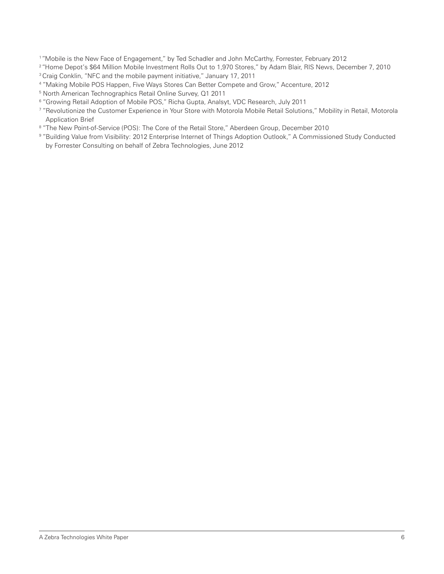1 "Mobile is the New Face of Engagement," by Ted Schadler and John McCarthy, Forrester, February 2012

<sup>2</sup> "Home Depot's \$64 Million Mobile Investment Rolls Out to 1,970 Stores," by Adam Blair, RIS News, December 7, 2010

<sup>3</sup> Craig Conklin, "NFC and the mobile payment initiative," January 17, 2011

- 4 "Making Mobile POS Happen, Five Ways Stores Can Better Compete and Grow," Accenture, 2012
- 5 North American Technographics Retail Online Survey, Q1 2011
- $^{\rm 6}$  "Growing Retail Adoption of Mobile POS," Richa Gupta, Analsyt, VDC Research, July 2011
- 7 "Revolutionize the Customer Experience in Your Store with Motorola Mobile Retail Solutions," Mobility in Retail, Motorola Application Brief
- $^{\text{\tiny{\textregistered}}}$  'The New Point-of-Service (POS): The Core of the Retail Store," Aberdeen Group, December 2010
- 9 "Building Value from Visibility: 2012 Enterprise Internet of Things Adoption Outlook," A Commissioned Study Conducted by Forrester Consulting on behalf of Zebra Technologies, June 2012